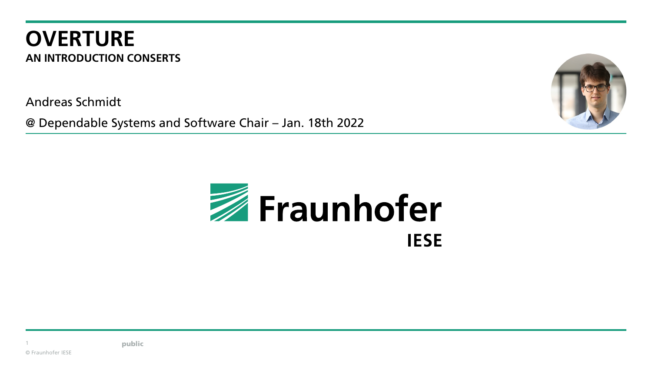#### **OVERTURE AN INTRODUCTION CONSERTS**

Andreas Schmidt

@ Dependable Systems and Software Chair – Jan. 18th 2022





public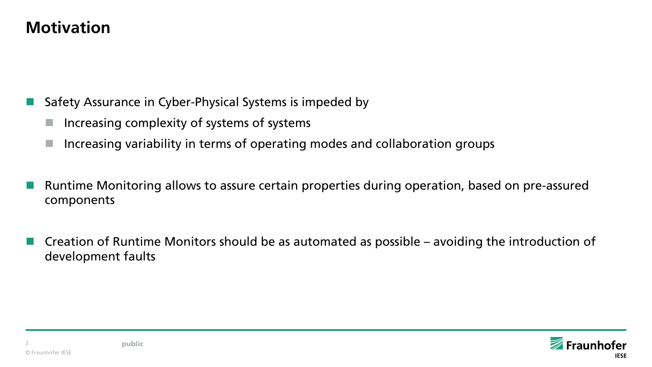#### **Motivation**

Safety Assurance in Cyber-Physical Systems is impeded by

- Increasing complexity of systems of systems
- Increasing variability in terms of operating modes and collaboration groups
- Runtime Monitoring allows to assure certain properties during operation, based on pre-assured components
- Creation of Runtime Monitors should be as automated as possible avoiding the introduction of development faults

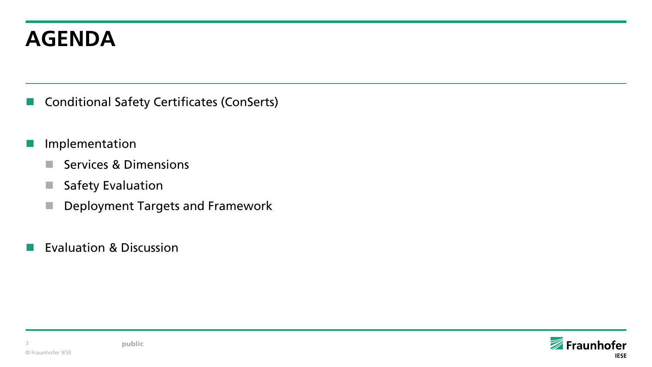# **AGENDA**

- **Conditional Safety Certificates (ConSerts)**
- **I** Implementation
	- Services & Dimensions
	- Safety Evaluation
	- Deployment Targets and Framework
- **Exaluation & Discussion**

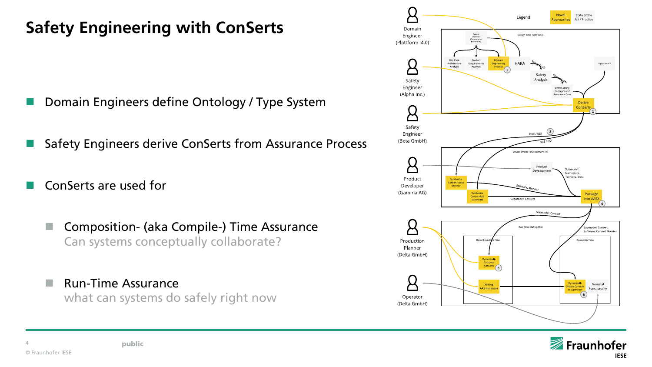# **Safety Engineering with ConSerts**

- Domain Engineers define Ontology / Type System
- Safety Engineers derive ConSerts from Assurance Process
- ConSerts are used for
	- Composition- (aka Compile-) Time Assurance Can systems conceptually collaborate?
	- **Run-Time Assurance** what can systems do safely right now

public



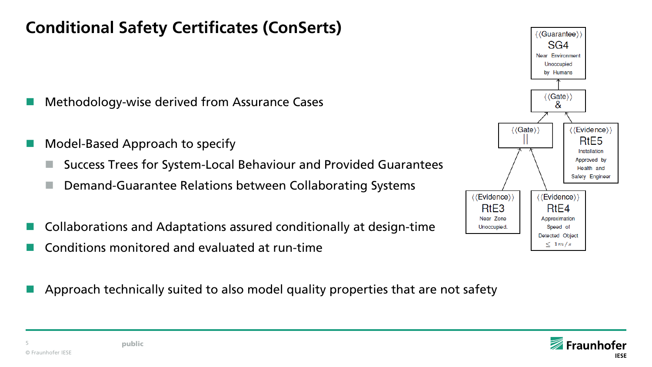#### **Conditional Safety Certificates (ConSerts)**

- Methodology-wise derived from Assurance Cases
- Model-Based Approach to specify
	- Success Trees for System-Local Behaviour and Provided Guarantees
	- Demand-Guarantee Relations between Collaborating Systems
- Collaborations and Adaptations assured conditionally at design-time
- Conditions monitored and evaluated at run-time
- Approach technically suited to also model quality properties that are not safety



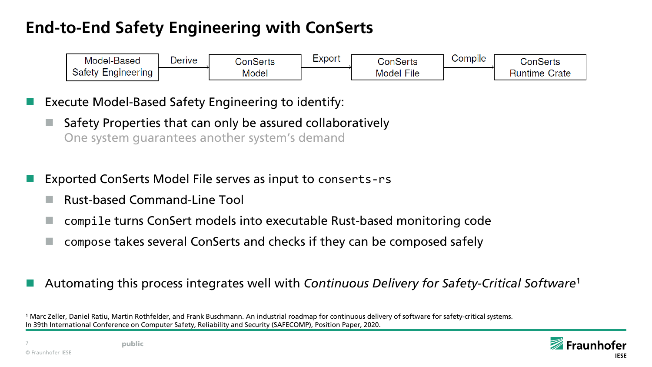### **End-to-End Safety Engineering with ConSerts**



Execute Model-Based Safety Engineering to identify:

- $\blacksquare$  Safety Properties that can only be assured collaboratively One system guarantees another system's demand
- Exported ConSerts Model File serves as input to conserts-rs
	- Rust-based Command-Line Tool
	- compile turns ConSert models into executable Rust-based monitoring code
	- compose takes several ConSerts and checks if they can be composed safely

#### Automating this process integrates well with *Continuous Delivery for Safety-Critical Software*<sup>1</sup>

<sup>1</sup> Marc Zeller, Daniel Ratiu, Martin Rothfelder, and Frank Buschmann. An industrial roadmap for continuous delivery of software for safety-critical systems. In 39th International Conference on Computer Safety, Reliability and Security (SAFECOMP), Position Paper, 2020.

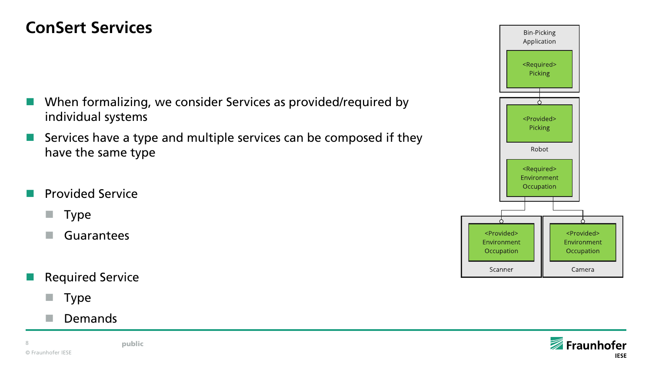#### **ConSert Services**

- When formalizing, we consider Services as provided/required by individual systems
- Services have a type and multiple services can be composed if they have the same type
- Provided Service
	- $\blacksquare$  Type
	- Guarantees
- Required Service
	- $\blacksquare$  Type
	- Demands

© Fraunhofer IESE 8 **public** 



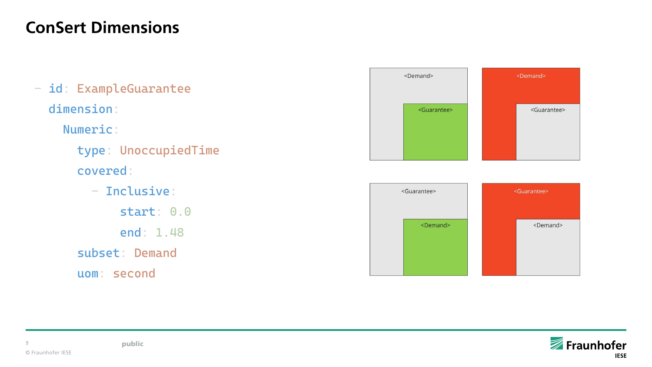#### **ConSert Dimensions**

- id: ExampleGuarantee dimension:
	- Numeric:
		- type: UnoccupiedTime covered:
		- Inclusive: start: 0.0 end: 1.48 subset: Demand
		- uom: second





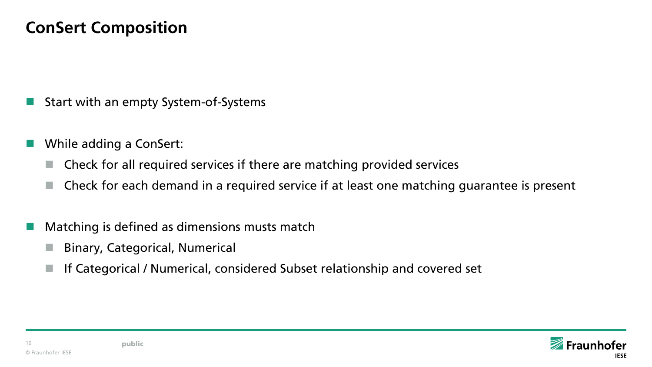#### **ConSert Composition**

- Start with an empty System-of-Systems
- While adding a ConSert:
	- Check for all required services if there are matching provided services
	- Check for each demand in a required service if at least one matching guarantee is present
- Matching is defined as dimensions musts match
	- Binary, Categorical, Numerical
	- If Categorical / Numerical, considered Subset relationship and covered set

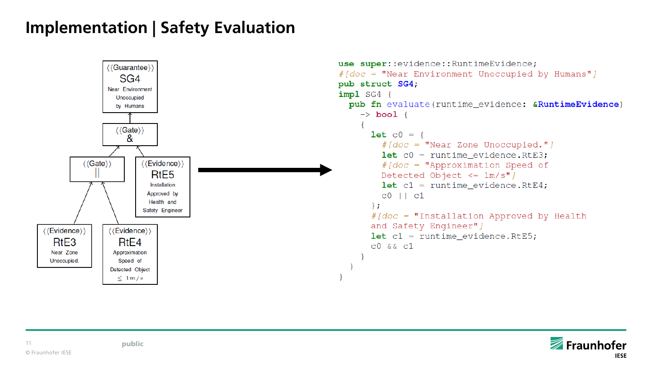### **Implementation | Safety Evaluation**



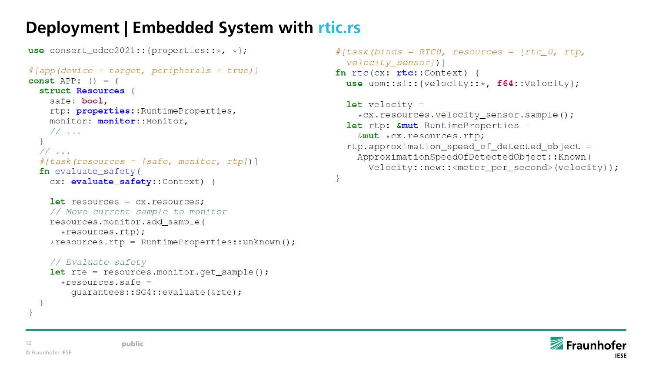#### **Deployment | Embedded System with [rtic.rs](https://rtic.rs/)**

```
use consert edcc2021:: {properties:: *, *};
```

```
\#[app(device = target, peripherals = true)]
const APP: () = \{struct Resources {
    safe: bool,
    rtp: properties:: RuntimeProperties,
   monitor: monitor:: Monitor,
   11...11...#[task(resources = [safe, monitor, rtp])]
  fn evaluate safety (
    cx: evaluate safety::Context) {
```

```
let resources = cx. resources:
// Move current sample to monitor
resources.monitor.add_sample(
  *resources.rtp);
*resources.rtp = RuntimeProperties::unknown();
```

```
// Evaluate safety
let rte = resources.monitor.get_sample();
  *resources.safe =
    quarantees::SG4::evaluate(&rte);
```

```
#[task(binds = RTCO, resources = [rtc 0, rtp,velocity sensor]) ]
fn rtc(cx: rtc::Context) {
  use uom::si:: {velocity:: *, f64:: Velocity};
```

```
let velocity =
  *cx.resources.velocity_sensor.sample();
let rtp: \text{\&mut} RuntimeProperties =
  \& mut \star cx. resources. rtp;
rtp.approximation_speed_of_detected_object =
  ApproximationSpeedOfDetectedObject::Known(
    Velocity::new::<meter_per_second>(velocity));
```
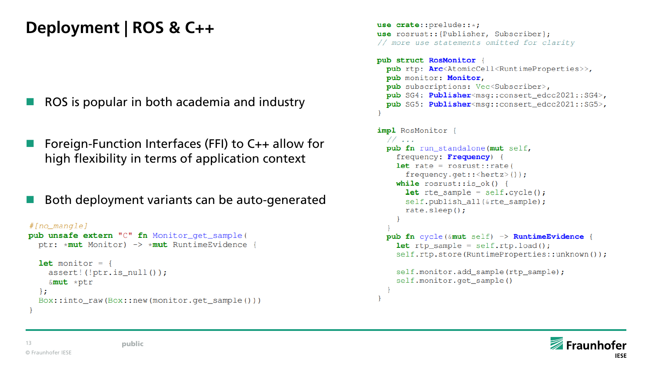# **Deployment | ROS & C++**

- ROS is popular in both academia and industry
- Foreign-Function Interfaces (FFI) to C++ allow for high flexibility in terms of application context
- Both deployment variants can be auto-generated

```
# [no mangle]
pub unsafe extern "C" fn Monitor_get_sample(
  ptr: *mut Monitor) -> *mut RuntimeEvidence {
  let monitor = {
    assert! (!ptr.is_null());
    &mut *ptr
  \} ;
  Box::into_raw(Box::new(monitor.get_sample()))
```

```
use crate::prelude::*;use rosrust:: {Publisher, Subscriber};
// more use statements omitted for clarity
pub struct RosMonitor {
  pub rtp: Arc<AtomicCell<RuntimeProperties>>,
  pub monitor: Monitor,
  pub subscriptions: Vec<Subscriber>,
  pub SG4: Publisher<msq::consert_edcc2021::SG4>,
  pub SG5: Publisher<msg::consert_edcc2021::SG5>,
impl RosMonitor
  11...pub fn run_standalone(mut self,
    frequency: Frequency) {
    let rate = rosrust::rate(frequency.get:: \text{chertz} () );
    while rosrust::is ok() {
      let rte_sample = self.cycle();
      self.publish_all(&rte_sample);
      rate.sleep();
  pub fn cycle(&mut self) -> RuntimeEvidence {
    let rtp_sample = self.rtp.load();
    self.rtp.store(RuntimeProperties::unknown());
    self.monitor.add_sample(rtp_sample);
    self.monitor.get_sample()
```
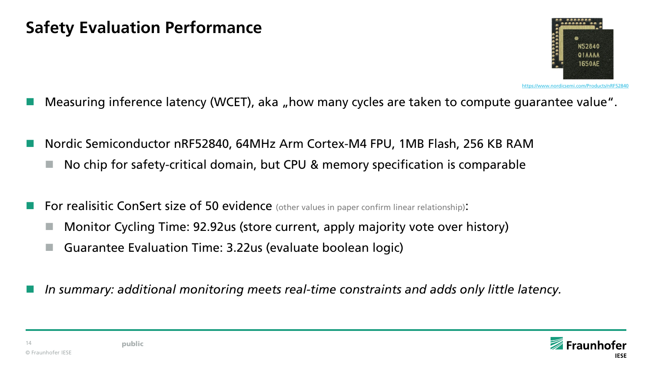

- Measuring inference latency (WCET), aka "how many cycles are taken to compute guarantee value".
- Nordic Semiconductor nRF52840, 64MHz Arm Cortex-M4 FPU, 1MB Flash, 256 KB RAM
	- No chip for safety-critical domain, but CPU & memory specification is comparable
- For realisitic ConSert size of 50 evidence (other values in paper confirm linear relationship):
	- Monitor Cycling Time: 92.92us (store current, apply majority vote over history)
	- Guarantee Evaluation Time: 3.22us (evaluate boolean logic)
- *In summary: additional monitoring meets real-time constraints and adds only little latency.*

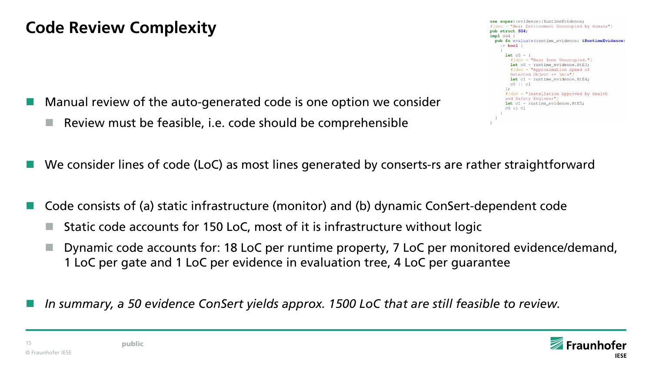- Manual review of the auto-generated code is one option we consider
	- $\blacksquare$  Review must be feasible, i.e. code should be comprehensible



- We consider lines of code (LoC) as most lines generated by conserts-rs are rather straightforward
- Code consists of (a) static infrastructure (monitor) and (b) dynamic ConSert-dependent code
	- $\blacksquare$  Static code accounts for 150 LoC, most of it is infrastructure without logic
	- Dynamic code accounts for: 18 LoC per runtime property, 7 LoC per monitored evidence/demand, 1 LoC per gate and 1 LoC per evidence in evaluation tree, 4 LoC per guarantee
- *In summary, a 50 evidence ConSert yields approx. 1500 LoC that are still feasible to review.*

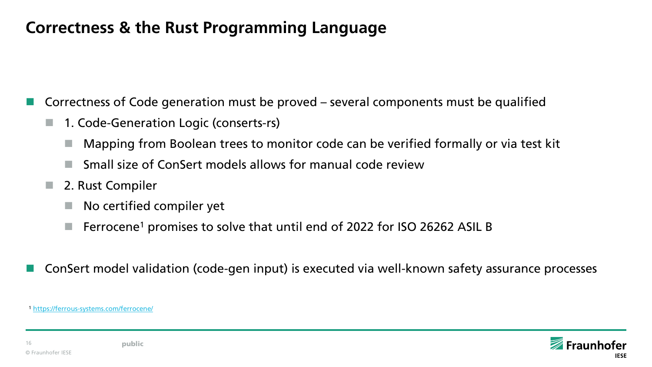#### **Correctness & the Rust Programming Language**

Correctness of Code generation must be proved – several components must be qualified

- 1. Code-Generation Logic (conserts-rs)
	- Mapping from Boolean trees to monitor code can be verified formally or via test kit
	- Small size of ConSert models allows for manual code review
- 2. Rust Compiler
	- No certified compiler yet
	- **F** Ferrocene<sup>1</sup> promises to solve that until end of 2022 for ISO 26262 ASIL B
- ConSert model validation (code-gen input) is executed via well-known safety assurance processes

<sup>1</sup> <https://ferrous-systems.com/ferrocene/>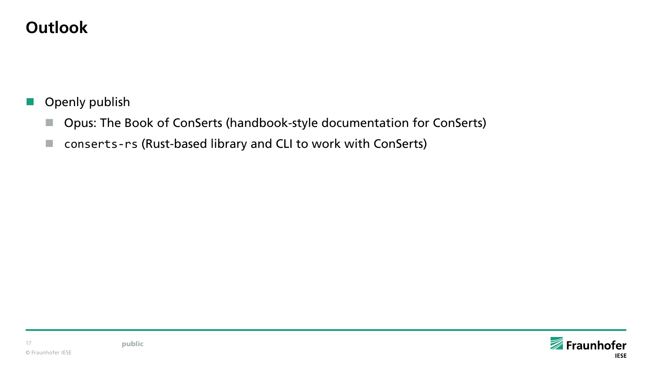### **Outlook**

- **Openly publish** 
	- Opus: The Book of ConSerts (handbook-style documentation for ConSerts)
	- conserts-rs (Rust-based library and CLI to work with ConSerts)